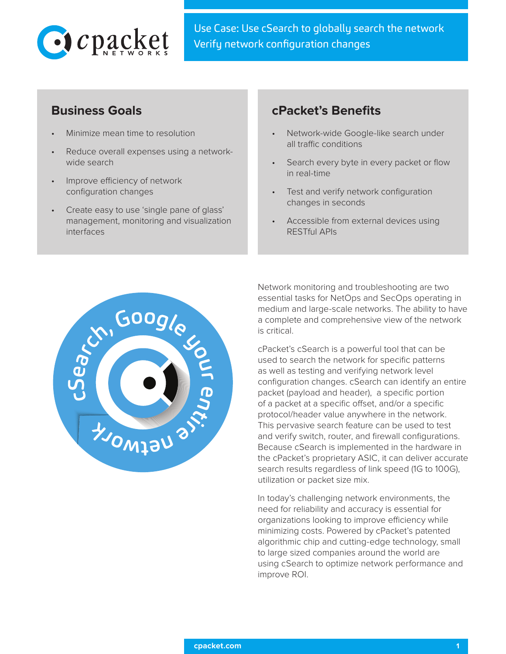

Use Case: Use cSearch to globally search the network Verify network configuration changes

- Minimize mean time to resolution
- Reduce overall expenses using a networkwide search
- Improve efficiency of network configuration changes
- Create easy to use 'single pane of glass' management, monitoring and visualization interfaces

# **Business Goals cPacket's Benefits**

- Network-wide Google-like search under all traffic conditions
- Search every byte in every packet or flow in real-time
- Test and verify network configuration changes in seconds
- Accessible from external devices using RESTful APIs



Network monitoring and troubleshooting are two essential tasks for NetOps and SecOps operating in medium and large-scale networks. The ability to have a complete and comprehensive view of the network is critical.

cPacket's cSearch is a powerful tool that can be used to search the network for specific patterns as well as testing and verifying network level configuration changes. cSearch can identify an entire packet (payload and header), a specific portion of a packet at a specific offset, and/or a specific protocol/header value anywhere in the network. This pervasive search feature can be used to test and verify switch, router, and firewall configurations. Because cSearch is implemented in the hardware in the cPacket's proprietary ASIC, it can deliver accurate search results regardless of link speed (1G to 100G), utilization or packet size mix.

In today's challenging network environments, the need for reliability and accuracy is essential for organizations looking to improve efficiency while minimizing costs. Powered by cPacket's patented algorithmic chip and cutting-edge technology, small to large sized companies around the world are using cSearch to optimize network performance and improve ROI.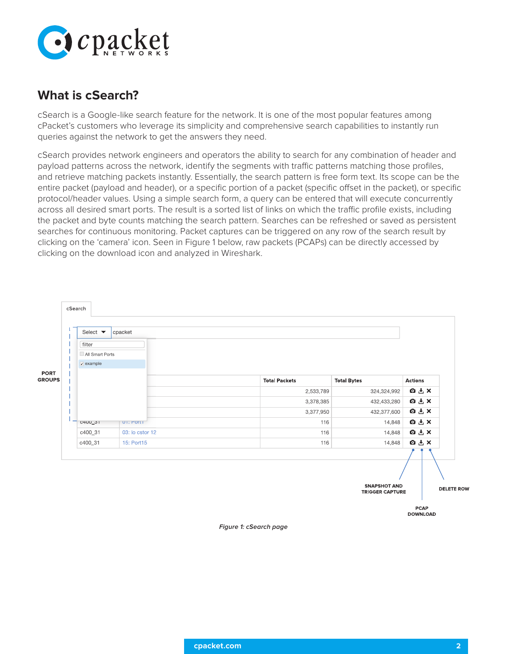

# **What is cSearch?**

cSearch is a Google-like search feature for the network. It is one of the most popular features among cPacket's customers who leverage its simplicity and comprehensive search capabilities to instantly run queries against the network to get the answers they need.

cSearch provides network engineers and operators the ability to search for any combination of header and payload patterns across the network, identify the segments with traffic patterns matching those profiles, and retrieve matching packets instantly. Essentially, the search pattern is free form text. Its scope can be the entire packet (payload and header), or a specific portion of a packet (specific offset in the packet), or specific protocol/header values. Using a simple search form, a query can be entered that will execute concurrently across all desired smart ports. The result is a sorted list of links on which the traffic profile exists, including the packet and byte counts matching the search pattern. Searches can be refreshed or saved as persistent searches for continuous monitoring. Packet captures can be triggered on any row of the search result by clicking on the 'camera' icon. Seen in Figure 1 below, raw packets (PCAPs) can be directly accessed by clicking on the download icon and analyzed in Wireshark.

| Select $\blacktriangledown$           | cpacket         |                      |                    |                |  |
|---------------------------------------|-----------------|----------------------|--------------------|----------------|--|
| filter                                |                 |                      |                    |                |  |
| All Smart Ports<br>$\sqrt{ }$ example |                 |                      |                    |                |  |
|                                       |                 | <b>Total Packets</b> | <b>Total Bytes</b> | <b>Actions</b> |  |
|                                       |                 | 2,533,789            | 324,324,992        | <b>OLX</b>     |  |
|                                       |                 | 3,378,385            | 432,433,280        | <b>QLX</b>     |  |
|                                       |                 | 3,377,950            | 432,377,600        | <b>白土×</b>     |  |
| C4UU_31                               | UI: POILL       | 116                  | 14,848             | <b>QLX</b>     |  |
| c400_31                               | 03: lo cstor 12 | 116                  | 14,848             | <b>QLX</b>     |  |
| c400_31                               | 15: Port15      | 116                  | 14,848             | <b>QLX</b>     |  |
|                                       |                 |                      |                    |                |  |
|                                       |                 |                      |                    |                |  |

**Figure 1: cSearch page**

**DOWNLOAD**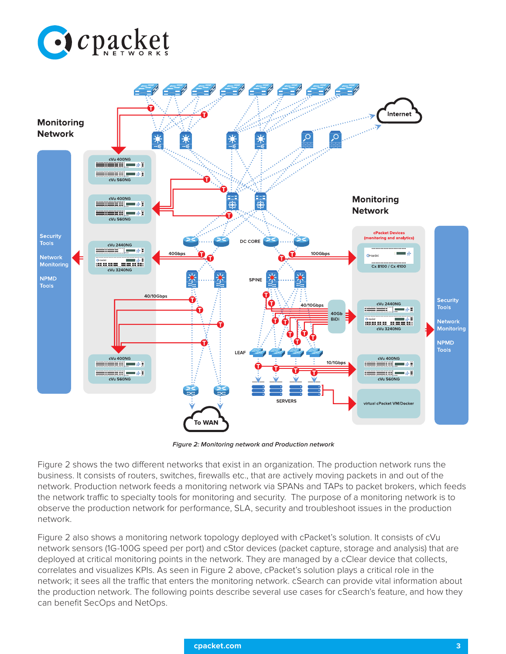



**Figure 2: Monitoring network and Production network** 

Figure 2 shows the two different networks that exist in an organization. The production network runs the business. It consists of routers, switches, firewalls etc., that are actively moving packets in and out of the network. Production network feeds a monitoring network via SPANs and TAPs to packet brokers, which feeds the network traffic to specialty tools for monitoring and security. The purpose of a monitoring network is to observe the production network for performance, SLA, security and troubleshoot issues in the production network.

Figure 2 also shows a monitoring network topology deployed with cPacket's solution. It consists of cVu network sensors (1G-100G speed per port) and cStor devices (packet capture, storage and analysis) that are deployed at critical monitoring points in the network. They are managed by a cClear device that collects, correlates and visualizes KPIs. As seen in Figure 2 above, cPacket's solution plays a critical role in the network; it sees all the traffic that enters the monitoring network. cSearch can provide vital information about the production network. The following points describe several use cases for cSearch's feature, and how they can benefit SecOps and NetOps.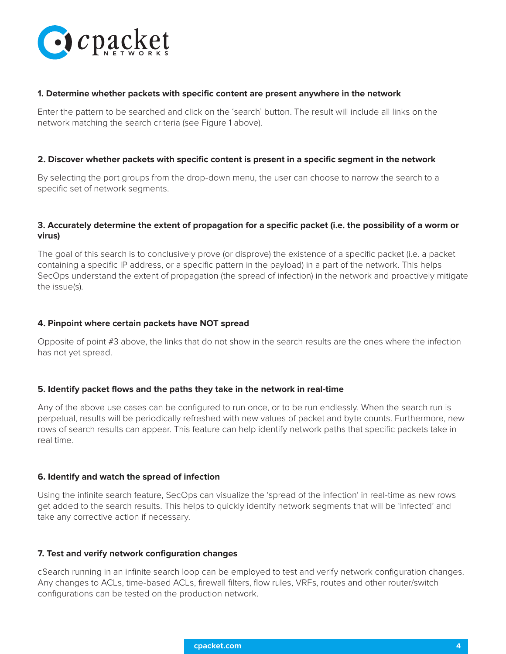

### **1. Determine whether packets with specific content are present anywhere in the network**

Enter the pattern to be searched and click on the 'search' button. The result will include all links on the network matching the search criteria (see Figure 1 above).

#### **2. Discover whether packets with specific content is present in a specific segment in the network**

By selecting the port groups from the drop-down menu, the user can choose to narrow the search to a specific set of network segments.

## **3. Accurately determine the extent of propagation for a specific packet (i.e. the possibility of a worm or virus)**

The goal of this search is to conclusively prove (or disprove) the existence of a specific packet (i.e. a packet containing a specific IP address, or a specific pattern in the payload) in a part of the network. This helps SecOps understand the extent of propagation (the spread of infection) in the network and proactively mitigate the issue(s).

### **4. Pinpoint where certain packets have NOT spread**

Opposite of point #3 above, the links that do not show in the search results are the ones where the infection has not yet spread.

#### **5. Identify packet flows and the paths they take in the network in real-time**

Any of the above use cases can be configured to run once, or to be run endlessly. When the search run is perpetual, results will be periodically refreshed with new values of packet and byte counts. Furthermore, new rows of search results can appear. This feature can help identify network paths that specific packets take in real time.

## **6. Identify and watch the spread of infection**

Using the infinite search feature, SecOps can visualize the 'spread of the infection' in real-time as new rows get added to the search results. This helps to quickly identify network segments that will be 'infected' and take any corrective action if necessary.

#### **7. Test and verify network configuration changes**

cSearch running in an infinite search loop can be employed to test and verify network configuration changes. Any changes to ACLs, time-based ACLs, firewall filters, flow rules, VRFs, routes and other router/switch configurations can be tested on the production network.